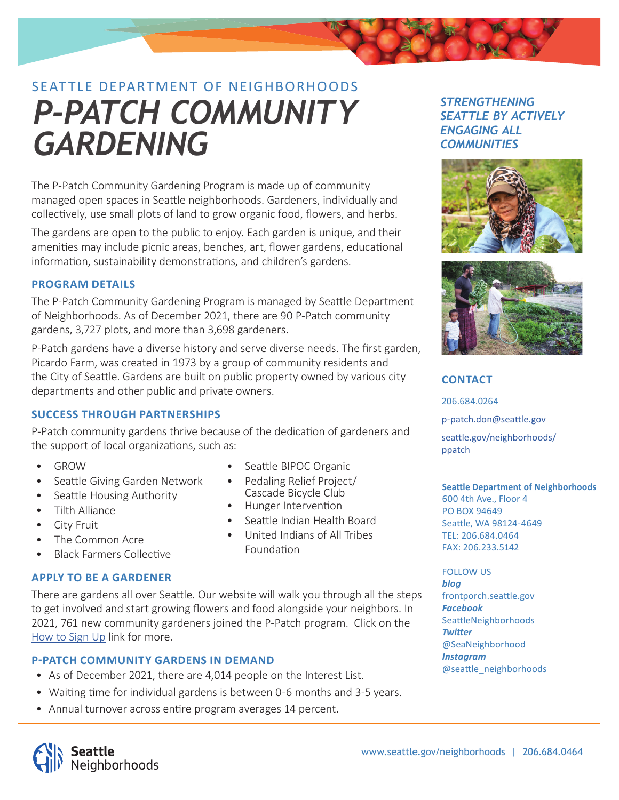# SEATTLE DEPARTMENT OF NEIGHBORHOODS *P-PATCH COMMUNITY GARDENING*

The P-Patch Community Gardening Program is made up of community managed open spaces in Seattle neighborhoods. Gardeners, individually and collectively, use small plots of land to grow organic food, flowers, and herbs.

The gardens are open to the public to enjoy. Each garden is unique, and their amenities may include picnic areas, benches, art, flower gardens, educational information, sustainability demonstrations, and children's gardens.

# **PROGRAM DETAILS**

The P-Patch Community Gardening Program is managed by Seattle Department of Neighborhoods. As of December 2021, there are 90 P-Patch community gardens, 3,727 plots, and more than 3,698 gardeners.

P-Patch gardens have a diverse history and serve diverse needs. The first garden, Picardo Farm, was created in 1973 by a group of community residents and the City of Seattle. Gardens are built on public property owned by various city departments and other public and private owners.

# **SUCCESS THROUGH PARTNERSHIPS**

P-Patch community gardens thrive because of the dedication of gardeners and the support of local organizations, such as:

- GROW
- Seattle Giving Garden Network
- Seattle Housing Authority
- Tilth Alliance
- City Fruit
- The Common Acre
- **Black Farmers Collective**

# **APPLY TO BE A GARDENER**

There are gardens all over Seattle. Our website will walk you through all the steps to get involved and start growing flowers and food alongside your neighbors. In 2021, 761 new community gardeners joined the P-Patch program. Click on the [How to Sign Up](http://www.seattle.gov/neighborhoods/programs-and-services/p-patch-community-gardening/how-to-sign-up) link for more.

# **P-PATCH COMMUNITY GARDENS IN DEMAND**

- As of December 2021, there are 4,014 people on the Interest List.
- Waiting time for individual gardens is between 0-6 months and 3-5 years.
- Annual turnover across entire program averages 14 percent.

# *STRENGTHENING SEATTLE BY ACTIVELY ENGAGING ALL COMMUNITIES*





# **CONTACT**

206.684.0264 p-patch.don@seattle.gov seattle.gov/neighborhoods/ ppatch

#### **SeaƩ le Department of Neighborhoods**

600 4th Ave., Floor 4 PO BOX 94649 Seattle, WA 98124-4649 TEL: 206.684.0464 FAX: 206.233.5142

#### FOLLOW US *blog*

frontporch.seattle.gov *Facebook* SeattleNeighborhoods *Twitter* @SeaNeighborhood *Instagram* @seattle\_neighborhoods



Pedaling Relief Project/ Cascade Bicycle Club

Seattle BIPOC Organic

- Hunger Intervention
- Seattle Indian Health Board
- United Indians of All Tribes Foundation